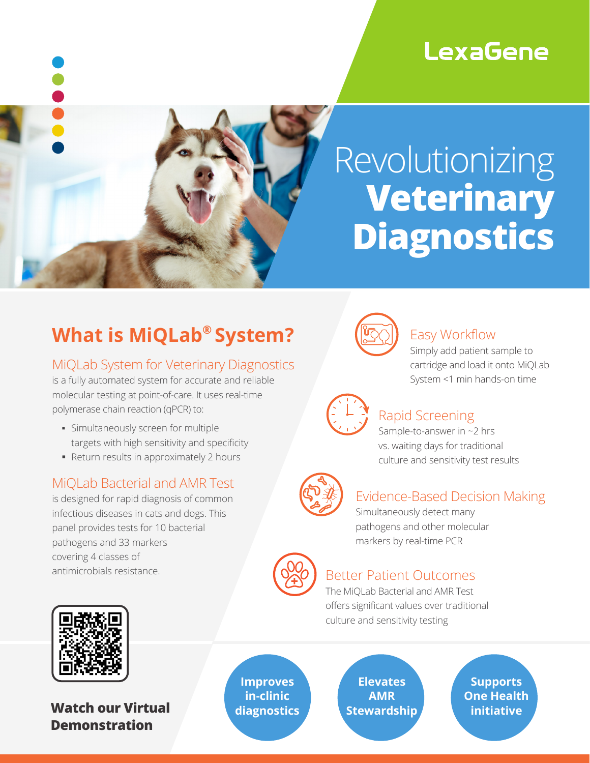# **LexaGene**



# Revolutionizing **Veterinary Diagnostics**

# **What is MiQLab® System?**

#### MiQLab System for Veterinary Diagnostics

is a fully automated system for accurate and reliable molecular testing at point-of-care. It uses real-time polymerase chain reaction (qPCR) to:

- § Simultaneously screen for multiple targets with high sensitivity and specificity
- Return results in approximately 2 hours

#### MiQLab Bacterial and AMR Test

is designed for rapid diagnosis of common infectious diseases in cats and dogs. This panel provides tests for 10 bacterial pathogens and 33 markers covering 4 classes of antimicrobials resistance.



#### Easy Workflow

Simply add patient sample to cartridge and load it onto MiQLab System <1 min hands-on time



## Rapid Screening

Sample-to-answer in ~2 hrs vs. waiting days for traditional culture and sensitivity test results

## Evidence-Based Decision Making

Simultaneously detect many pathogens and other molecular markers by real-time PCR



#### Better Patient Outcomes

The MiQLab Bacterial and AMR Test offers significant values over traditional culture and sensitivity testing



**Watch our Virtual Demonstration** 

**Improves in-clinic diagnostics**

**Elevates AMR Stewardship**

**Supports One Health initiative**